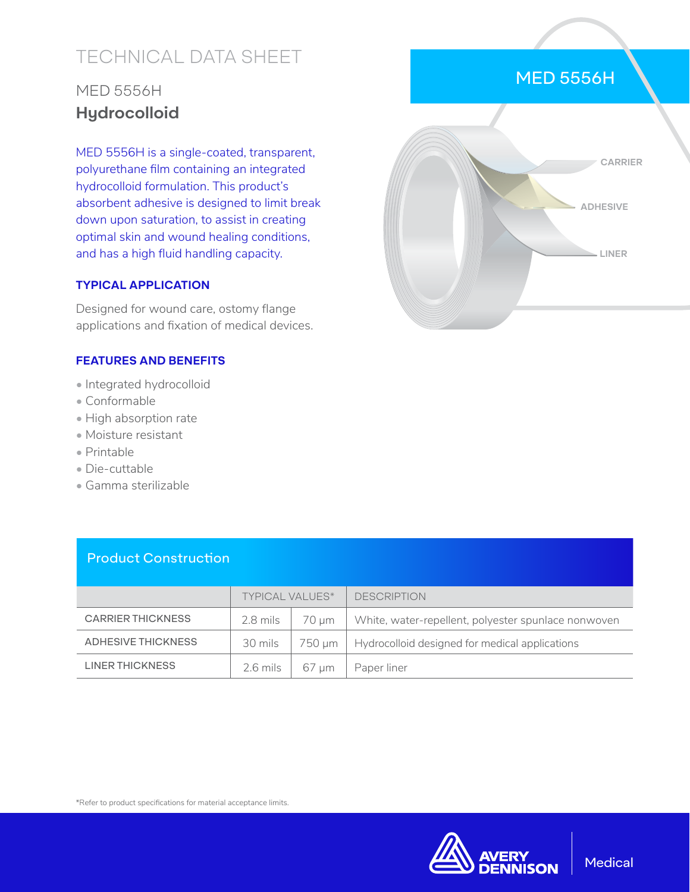# TECHNICAL DATA SHEET

## MED 5556H **Hydrocolloid**

MED 5556H is a single-coated, transparent, polyurethane film containing an integrated hydrocolloid formulation. This product's absorbent adhesive is designed to limit break down upon saturation, to assist in creating optimal skin and wound healing conditions, and has a high fluid handling capacity.

#### **TYPICAL APPLICATION**

Designed for wound care, ostomy flange applications and fixation of medical devices.

#### **FEATURES AND BENEFITS**

- Integrated hydrocolloid
- Conformable
- High absorption rate
- Moisture resistant
- Printable
- Die-cuttable
- Gamma sterilizable

Product Construction

|                          | <b>TYPICAL VALUES*</b> |        | <b>DESCRIPTION</b>                                  |
|--------------------------|------------------------|--------|-----------------------------------------------------|
| <b>CARRIER THICKNESS</b> | 2.8 mils               | 70 um  | White, water-repellent, polyester spunlace nonwoven |
| ADHESIVE THICKNESS       | 30 mils                | 750 um | Hydrocolloid designed for medical applications      |
| LINER THICKNESS          | 2.6 mils               | 67 um  | Paper liner                                         |